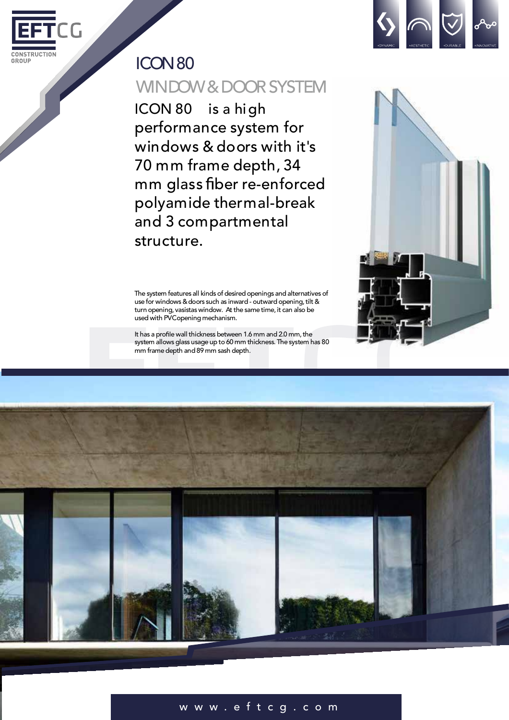



ICON 80 is a high performance system for windows & doors with it's 70 mm frame depth, 34 mm glass fiber re-enforced polyamide thermal-break and 3 compartmental structure.

The system features all kinds of desired openings and alternatives of use for windows & doors such as inward - outward opening, tilt & turn opening, vasistas window. At the same time, it can also be used with PVCopening mechanism.

It has a profile wall thickness between 1.6 mm and 2.0 mm, the system allows glass usage up to 60 mm thickness. The system has 80 mm framedepth and 89 mm sash depth.





## w w w . e f t c g . c o m